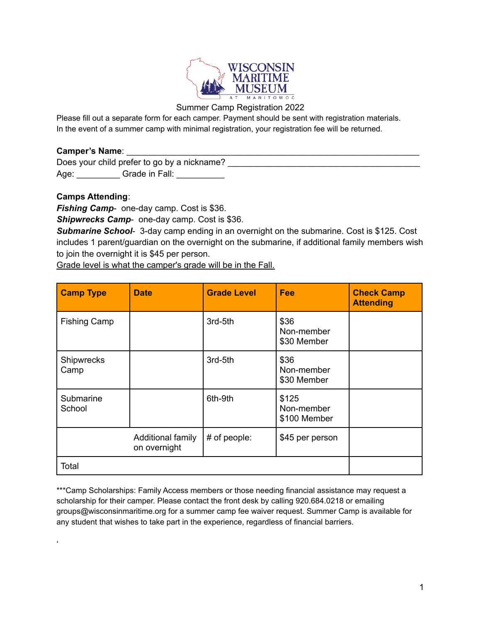

### Summer Camp Registration 2022

Please fill out a separate form for each camper. Payment should be sent with registration materials. In the event of a summer camp with minimal registration, your registration fee will be returned.

### **Camper's Name**: \_\_\_\_\_\_\_\_\_\_\_\_\_\_\_\_\_\_\_\_\_\_\_\_\_\_\_\_\_\_\_\_\_\_\_\_\_\_\_\_\_\_\_\_\_\_\_\_\_\_\_\_\_\_\_\_\_\_\_\_\_

Does your child prefer to go by a nickname? \_\_\_\_\_\_\_\_\_\_\_\_\_\_\_\_\_\_\_\_\_\_\_\_\_\_\_\_\_\_\_\_\_\_\_\_\_\_\_\_ Age: Grade in Fall:

## **Camps Attending**:

 $\epsilon$ 

*Fishing Camp*- one-day camp. Cost is \$36.

*Shipwrecks Camp*- one-day camp. Cost is \$36.

*Submarine School*- 3-day camp ending in an overnight on the submarine. Cost is \$125. Cost includes 1 parent/guardian on the overnight on the submarine, if additional family members wish to join the overnight it is \$45 per person.

Grade level is what the camper's grade will be in the Fall.

| <b>Camp Type</b>    | <b>Date</b>                       | <b>Grade Level</b> | <b>Fee</b>                          | <b>Check Camp</b><br><b>Attending</b> |
|---------------------|-----------------------------------|--------------------|-------------------------------------|---------------------------------------|
| <b>Fishing Camp</b> |                                   | 3rd-5th            | \$36<br>Non-member<br>\$30 Member   |                                       |
| Shipwrecks<br>Camp  |                                   | 3rd-5th            | \$36<br>Non-member<br>\$30 Member   |                                       |
| Submarine<br>School |                                   | 6th-9th            | \$125<br>Non-member<br>\$100 Member |                                       |
|                     | Additional family<br>on overnight | # of people:       | \$45 per person                     |                                       |
| Total               |                                   |                    |                                     |                                       |

\*\*\*Camp Scholarships: Family Access members or those needing financial assistance may request a scholarship for their camper. Please contact the front desk by calling 920.684.0218 or emailing groups@wisconsinmaritime.org for a summer camp fee waiver request. Summer Camp is available for any student that wishes to take part in the experience, regardless of financial barriers.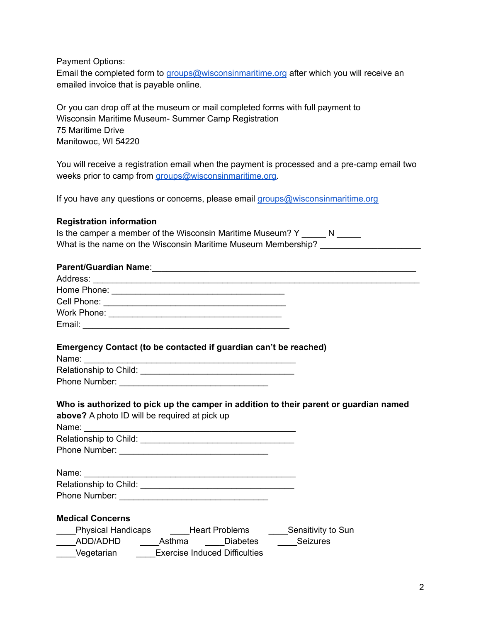Payment Options:

Email the completed form to [groups@wisconsinmaritime.org](mailto:groups@wisconsinmaritime.org) after which you will receive an emailed invoice that is payable online.

Or you can drop off at the museum or mail completed forms with full payment to Wisconsin Maritime Museum- Summer Camp Registration 75 Maritime Drive Manitowoc, WI 54220

You will receive a registration email when the payment is processed and a pre-camp email two weeks prior to camp from [groups@wisconsinmaritime.org.](mailto:groups@wisconsinmaritime.org)

If you have any questions or concerns, please email [groups@wisconsinmaritime.org](mailto:groups@wisconsinmaritime.org)

#### **Registration information**

| Is the camper a member of the Wisconsin Maritime Museum? Y    |  |
|---------------------------------------------------------------|--|
| What is the name on the Wisconsin Maritime Museum Membership? |  |

| Parent/Guardian Name: Manual Communication of the Communication of the Communication of the Communication of the Communication of the Communication of the Communication of the Communication of the Communication of the Comm |  |
|--------------------------------------------------------------------------------------------------------------------------------------------------------------------------------------------------------------------------------|--|
|                                                                                                                                                                                                                                |  |
|                                                                                                                                                                                                                                |  |
|                                                                                                                                                                                                                                |  |
|                                                                                                                                                                                                                                |  |
|                                                                                                                                                                                                                                |  |
| Emergency Contact (to be contacted if guardian can't be reached)                                                                                                                                                               |  |
|                                                                                                                                                                                                                                |  |
|                                                                                                                                                                                                                                |  |
|                                                                                                                                                                                                                                |  |
| Who is authorized to pick up the camper in addition to their parent or guardian named<br>above? A photo ID will be required at pick up                                                                                         |  |
|                                                                                                                                                                                                                                |  |
|                                                                                                                                                                                                                                |  |
|                                                                                                                                                                                                                                |  |
|                                                                                                                                                                                                                                |  |
|                                                                                                                                                                                                                                |  |
|                                                                                                                                                                                                                                |  |
| <b>Medical Concerns</b>                                                                                                                                                                                                        |  |
| ____Physical Handicaps ______Heart Problems ______Sensitivity to Sun                                                                                                                                                           |  |
| _____ADD/ADHD ______Asthma _____Diabetes _____Seizures                                                                                                                                                                         |  |
| ____Vegetarian ______Exercise Induced Difficulties                                                                                                                                                                             |  |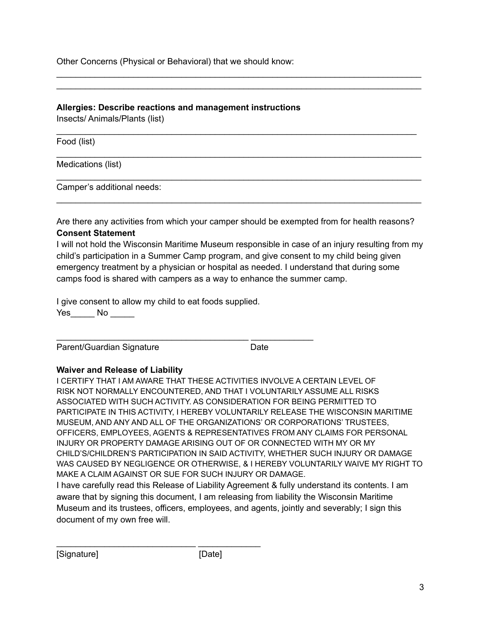Other Concerns (Physical or Behavioral) that we should know:

## **Allergies: Describe reactions and management instructions**

Insects/ Animals/Plants (list)

Food (list)

Medications (list)

Camper's additional needs:

Are there any activities from which your camper should be exempted from for health reasons? **Consent Statement**

\_\_\_\_\_\_\_\_\_\_\_\_\_\_\_\_\_\_\_\_\_\_\_\_\_\_\_\_\_\_\_\_\_\_\_\_\_\_\_\_\_\_\_\_\_\_\_\_\_\_\_\_\_\_\_\_\_\_\_\_\_\_\_\_\_\_\_\_\_\_\_\_\_\_\_\_ \_\_\_\_\_\_\_\_\_\_\_\_\_\_\_\_\_\_\_\_\_\_\_\_\_\_\_\_\_\_\_\_\_\_\_\_\_\_\_\_\_\_\_\_\_\_\_\_\_\_\_\_\_\_\_\_\_\_\_\_\_\_\_\_\_\_\_\_\_\_\_\_\_\_\_\_

\_\_\_\_\_\_\_\_\_\_\_\_\_\_\_\_\_\_\_\_\_\_\_\_\_\_\_\_\_\_\_\_\_\_\_\_\_\_\_\_\_\_\_\_\_\_\_\_\_\_\_\_\_\_\_\_\_\_\_\_\_\_\_\_\_\_\_\_\_\_\_\_\_\_\_

\_\_\_\_\_\_\_\_\_\_\_\_\_\_\_\_\_\_\_\_\_\_\_\_\_\_\_\_\_\_\_\_\_\_\_\_\_\_\_\_\_\_\_\_\_\_\_\_\_\_\_\_\_\_\_\_\_\_\_\_\_\_\_\_\_\_\_\_\_\_\_\_\_\_\_\_

\_\_\_\_\_\_\_\_\_\_\_\_\_\_\_\_\_\_\_\_\_\_\_\_\_\_\_\_\_\_\_\_\_\_\_\_\_\_\_\_\_\_\_\_\_\_\_\_\_\_\_\_\_\_\_\_\_\_\_\_\_\_\_\_\_\_\_\_\_\_\_\_\_\_\_\_

\_\_\_\_\_\_\_\_\_\_\_\_\_\_\_\_\_\_\_\_\_\_\_\_\_\_\_\_\_\_\_\_\_\_\_\_\_\_\_\_\_\_\_\_\_\_\_\_\_\_\_\_\_\_\_\_\_\_\_\_\_\_\_\_\_\_\_\_\_\_\_\_\_\_\_\_

I will not hold the Wisconsin Maritime Museum responsible in case of an injury resulting from my child's participation in a Summer Camp program, and give consent to my child being given emergency treatment by a physician or hospital as needed. I understand that during some camps food is shared with campers as a way to enhance the summer camp.

I give consent to allow my child to eat foods supplied. Yes No No

\_\_\_\_\_\_\_\_\_\_\_\_\_\_\_\_\_\_\_\_\_\_\_\_\_\_\_\_\_ \_\_\_\_\_\_\_\_\_\_\_\_\_

\_\_\_\_\_\_\_\_\_\_\_\_\_\_\_\_\_\_\_\_\_\_\_\_\_\_\_\_\_\_\_\_\_\_\_\_\_\_\_\_ \_\_\_\_\_\_\_\_\_\_\_\_\_

Parent/Guardian Signature Date

# **Waiver and Release of Liability**

I CERTIFY THAT I AM AWARE THAT THESE ACTIVITIES INVOLVE A CERTAIN LEVEL OF RISK NOT NORMALLY ENCOUNTERED, AND THAT I VOLUNTARILY ASSUME ALL RISKS ASSOCIATED WITH SUCH ACTIVITY. AS CONSIDERATION FOR BEING PERMITTED TO PARTICIPATE IN THIS ACTIVITY, I HEREBY VOLUNTARILY RELEASE THE WISCONSIN MARITIME MUSEUM, AND ANY AND ALL OF THE ORGANIZATIONS' OR CORPORATIONS' TRUSTEES, OFFICERS, EMPLOYEES, AGENTS & REPRESENTATIVES FROM ANY CLAIMS FOR PERSONAL INJURY OR PROPERTY DAMAGE ARISING OUT OF OR CONNECTED WITH MY OR MY CHILD'S/CHILDREN'S PARTICIPATION IN SAID ACTIVITY, WHETHER SUCH INJURY OR DAMAGE WAS CAUSED BY NEGLIGENCE OR OTHERWISE, & I HEREBY VOLUNTARILY WAIVE MY RIGHT TO MAKE A CLAIM AGAINST OR SUE FOR SUCH INJURY OR DAMAGE.

I have carefully read this Release of Liability Agreement & fully understand its contents. I am aware that by signing this document, I am releasing from liability the Wisconsin Maritime Museum and its trustees, officers, employees, and agents, jointly and severably; I sign this document of my own free will.